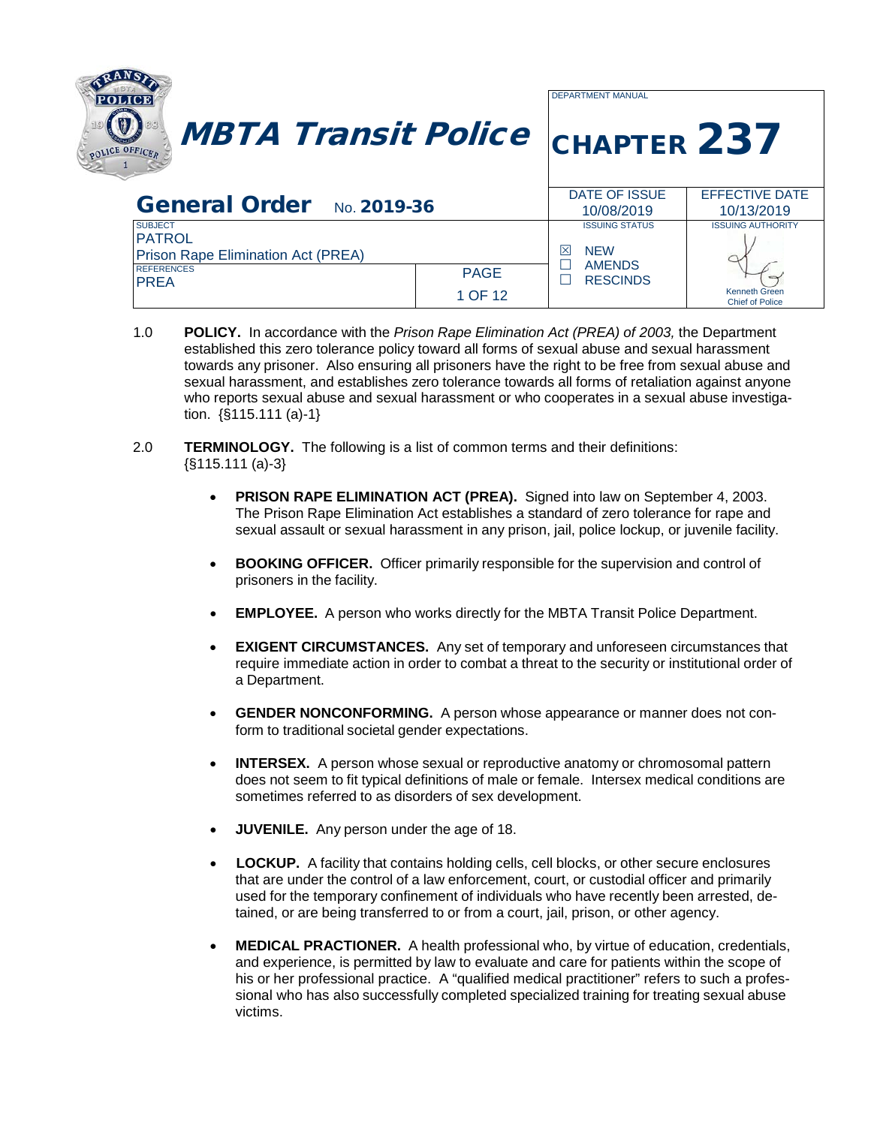| <b>MBTA Transit Police CHAPTER 237</b><br>POLICE OFFICED                                          |                        | <b>DEPARTMENT MANUAL</b>                                  |                                                |
|---------------------------------------------------------------------------------------------------|------------------------|-----------------------------------------------------------|------------------------------------------------|
|                                                                                                   |                        |                                                           |                                                |
| General Order No. 2019-36                                                                         |                        | DATE OF ISSUE<br>10/08/2019                               | <b>EFFECTIVE DATE</b><br>10/13/2019            |
| <b>SUBJECT</b><br><b>PATROL</b><br><b>Prison Rape Elimination Act (PREA)</b><br><b>REFERENCES</b> |                        | <b>ISSUING STATUS</b><br>⊠<br><b>NEW</b><br><b>AMENDS</b> | <b>ISSUING AUTHORITY</b>                       |
| <b>PREA</b>                                                                                       | <b>PAGE</b><br>1 OF 12 | <b>RESCINDS</b>                                           | <b>Kenneth Green</b><br><b>Chief of Police</b> |

- 1.0 **POLICY.** In accordance with the *Prison Rape Elimination Act (PREA) of 2003,* the Department established this zero tolerance policy toward all forms of sexual abuse and sexual harassment towards any prisoner. Also ensuring all prisoners have the right to be free from sexual abuse and sexual harassment, and establishes zero tolerance towards all forms of retaliation against anyone who reports sexual abuse and sexual harassment or who cooperates in a sexual abuse investigation. {§115.111 (a)-1}
- 2.0 **TERMINOLOGY.** The following is a list of common terms and their definitions: {§115.111 (a)-3}
	- **PRISON RAPE ELIMINATION ACT (PREA).** Signed into law on September 4, 2003. The Prison Rape Elimination Act establishes a standard of zero tolerance for rape and sexual assault or sexual harassment in any prison, jail, police lockup, or juvenile facility.
	- **BOOKING OFFICER.** Officer primarily responsible for the supervision and control of prisoners in the facility.
	- **EMPLOYEE.** A person who works directly for the MBTA Transit Police Department.
	- **EXIGENT CIRCUMSTANCES.** Any set of temporary and unforeseen circumstances that require immediate action in order to combat a threat to the security or institutional order of a Department.
	- •**GENDER NONCONFORMING.** A person whose appearance or manner does not conform to traditional societal gender expectations.
	- **INTERSEX.** A person whose sexual or reproductive anatomy or chromosomal pattern does not seem to fit typical definitions of male or female. Intersex medical conditions are sometimes referred to as disorders of sex development.
	- **JUVENILE.** Any person under the age of 18.
	- **LOCKUP.** A facility that contains holding cells, cell blocks, or other secure enclosures that are under the control of a law enforcement, court, or custodial officer and primarily used for the temporary confinement of individuals who have recently been arrested, detained, or are being transferred to or from a court, jail, prison, or other agency.
	- **MEDICAL PRACTIONER.** A health professional who, by virtue of education, credentials, and experience, is permitted by law to evaluate and care for patients within the scope of his or her professional practice. A "qualified medical practitioner" refers to such a professional who has also successfully completed specialized training for treating sexual abuse victims.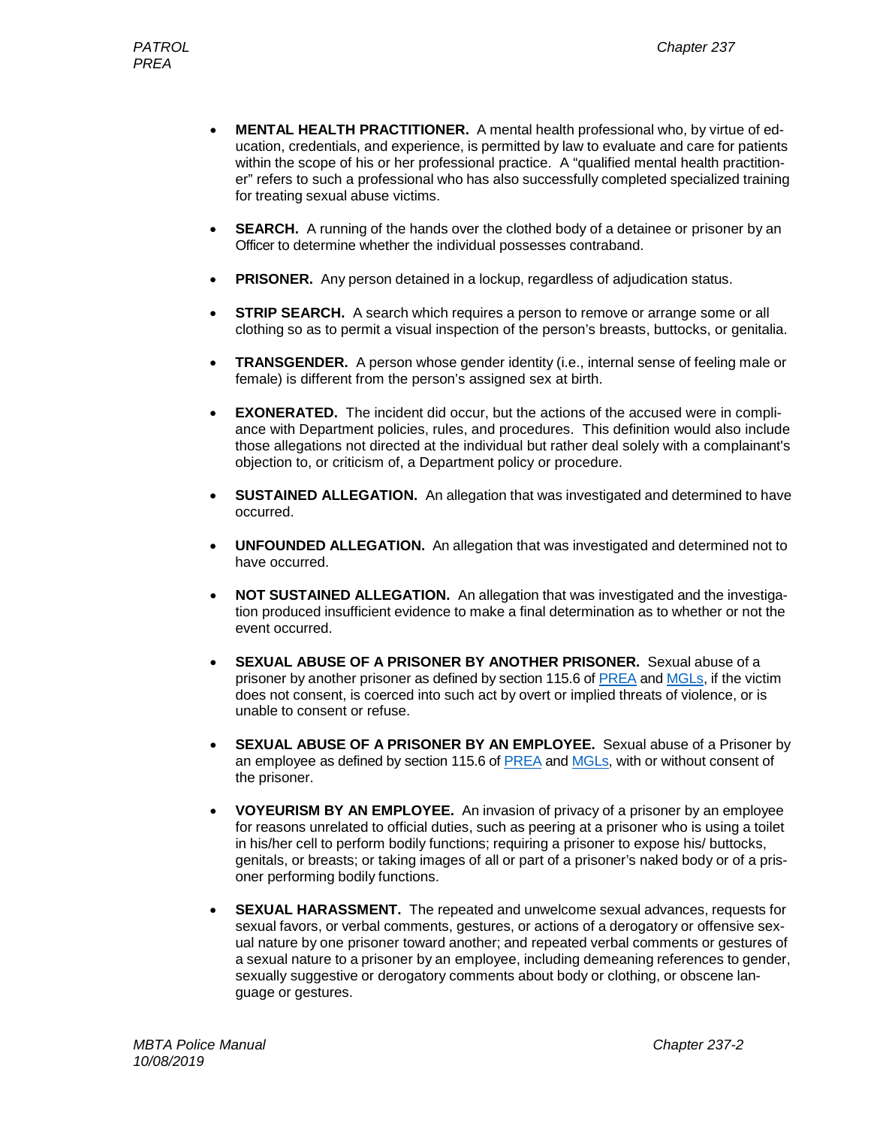- **MENTAL HEALTH PRACTITIONER.** A mental health professional who, by virtue of education, credentials, and experience, is permitted by law to evaluate and care for patients within the scope of his or her professional practice. A "qualified mental health practitioner" refers to such a professional who has also successfully completed specialized training for treating sexual abuse victims.
- **SEARCH.** A running of the hands over the clothed body of a detainee or prisoner by an Officer to determine whether the individual possesses contraband.
- **PRISONER.** Any person detained in a lockup, regardless of adjudication status.
- **STRIP SEARCH.** A search which requires a person to remove or arrange some or all clothing so as to permit a visual inspection of the person's breasts, buttocks, or genitalia.
- **TRANSGENDER.** A person whose gender identity (i.e., internal sense of feeling male or female) is different from the person's assigned sex at birth.
- **EXONERATED.** The incident did occur, but the actions of the accused were in compliance with Department policies, rules, and procedures. This definition would also include those allegations not directed at the individual but rather deal solely with a complainant's objection to, or criticism of, a Department policy or procedure.
- **SUSTAINED ALLEGATION.** An allegation that was investigated and determined to have occurred.
- **UNFOUNDED ALLEGATION.** An allegation that was investigated and determined not to have occurred.
- **NOT SUSTAINED ALLEGATION.** An allegation that was investigated and the investigation produced insufficient evidence to make a final determination as to whether or not the event occurred.
- **SEXUAL ABUSE OF A PRISONER BY ANOTHER PRISONER.** Sexual abuse of a prisoner by another prisoner as defined by section 115.6 of [PREA](https://www.prearesourcecenter.org/training-technical-assistance/prea-101/prisons-and-jail-standards) and [MGLs,](https://www.mass.gov/info-details/massachusetts-law-about-rape-and-sexual-assault) if the victim does not consent, is coerced into such act by overt or implied threats of violence, or is unable to consent or refuse.
- **SEXUAL ABUSE OF A PRISONER BY AN EMPLOYEE.** Sexual abuse of a Prisoner by an employee as defined by section 115.6 of [PREA](https://www.prearesourcecenter.org/training-technical-assistance/prea-101/prisons-and-jail-standards) and [MGLs,](https://www.mass.gov/info-details/massachusetts-law-about-rape-and-sexual-assault) with or without consent of the prisoner.
- **VOYEURISM BY AN EMPLOYEE.** An invasion of privacy of a prisoner by an employee for reasons unrelated to official duties, such as peering at a prisoner who is using a toilet in his/her cell to perform bodily functions; requiring a prisoner to expose his/ buttocks, genitals, or breasts; or taking images of all or part of a prisoner's naked body or of a prisoner performing bodily functions.
- **SEXUAL HARASSMENT.** The repeated and unwelcome sexual advances, requests for sexual favors, or verbal comments, gestures, or actions of a derogatory or offensive sexual nature by one prisoner toward another; and repeated verbal comments or gestures of a sexual nature to a prisoner by an employee, including demeaning references to gender, sexually suggestive or derogatory comments about body or clothing, or obscene language or gestures.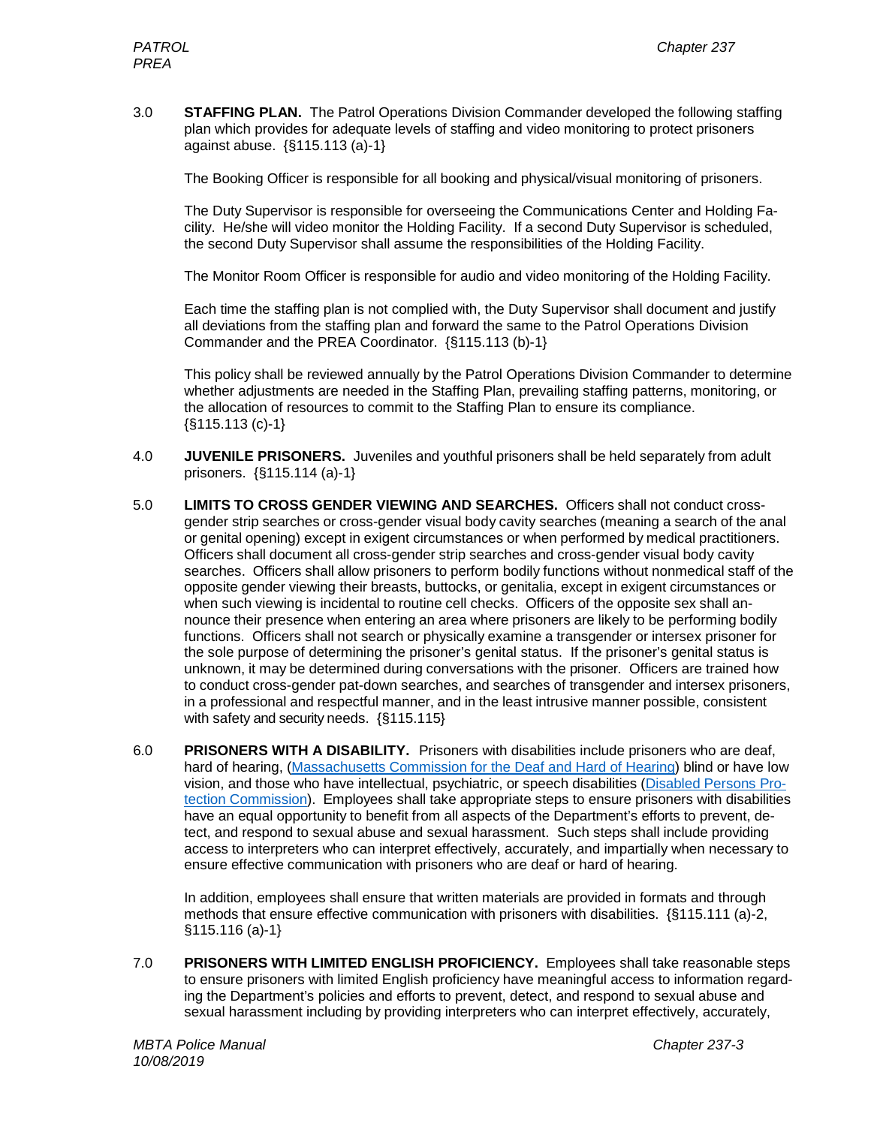3.0 **STAFFING PLAN.** The Patrol Operations Division Commander developed the following staffing plan which provides for adequate levels of staffing and video monitoring to protect prisoners against abuse. {§115.113 (a)-1}

The Booking Officer is responsible for all booking and physical/visual monitoring of prisoners.

The Duty Supervisor is responsible for overseeing the Communications Center and Holding Facility. He/she will video monitor the Holding Facility. If a second Duty Supervisor is scheduled, the second Duty Supervisor shall assume the responsibilities of the Holding Facility.

The Monitor Room Officer is responsible for audio and video monitoring of the Holding Facility.

Each time the staffing plan is not complied with, the Duty Supervisor shall document and justify all deviations from the staffing plan and forward the same to the Patrol Operations Division Commander and the PREA Coordinator. {§115.113 (b)-1}

This policy shall be reviewed annually by the Patrol Operations Division Commander to determine whether adjustments are needed in the Staffing Plan, prevailing staffing patterns, monitoring, or the allocation of resources to commit to the Staffing Plan to ensure its compliance.  $\{\S 115.113(c)-1\}$ 

- 4.0 **JUVENILE PRISONERS.** Juveniles and youthful prisoners shall be held separately from adult prisoners. {§115.114 (a)-1}
- 5.0 **LIMITS TO CROSS GENDER VIEWING AND SEARCHES.** Officers shall not conduct crossgender strip searches or cross-gender visual body cavity searches (meaning a search of the anal or genital opening) except in exigent circumstances or when performed by medical practitioners. Officers shall document all cross-gender strip searches and cross-gender visual body cavity searches. Officers shall allow prisoners to perform bodily functions without nonmedical staff of the opposite gender viewing their breasts, buttocks, or genitalia, except in exigent circumstances or when such viewing is incidental to routine cell checks. Officers of the opposite sex shall announce their presence when entering an area where prisoners are likely to be performing bodily functions. Officers shall not search or physically examine a transgender or intersex prisoner for the sole purpose of determining the prisoner's genital status. If the prisoner's genital status is unknown, it may be determined during conversations with the prisoner. Officers are trained how to conduct cross-gender pat-down searches, and searches of transgender and intersex prisoners, in a professional and respectful manner, and in the least intrusive manner possible, consistent with safety and security needs. { §115.115}
- 6.0 **PRISONERS WITH A DISABILITY.** Prisoners with disabilities include prisoners who are deaf, hard of hearing, [\(Massachusetts Commission for the Deaf and Hard of Hearing\)](http://www.mass.gov/eohhs/gov/departments/mcdhh/request-an-interpreter.html) blind or have low vision, and those who have intellectual, psychiatric, or speech disabilities [\(Disabled Persons Pro](https://disabilityinfo.org/mnip/mnip-members/disabled-persons-protection-commission/)[tection Commission\)](https://disabilityinfo.org/mnip/mnip-members/disabled-persons-protection-commission/). Employees shall take appropriate steps to ensure prisoners with disabilities have an equal opportunity to benefit from all aspects of the Department's efforts to prevent, detect, and respond to sexual abuse and sexual harassment. Such steps shall include providing access to interpreters who can interpret effectively, accurately, and impartially when necessary to ensure effective communication with prisoners who are deaf or hard of hearing.

In addition, employees shall ensure that written materials are provided in formats and through methods that ensure effective communication with prisoners with disabilities. {§115.111 (a)-2,  $$115.116 (a)-1\}$ 

7.0 **PRISONERS WITH LIMITED ENGLISH PROFICIENCY.** Employees shall take reasonable steps to ensure prisoners with limited English proficiency have meaningful access to information regarding the Department's policies and efforts to prevent, detect, and respond to sexual abuse and sexual harassment including by providing interpreters who can interpret effectively, accurately,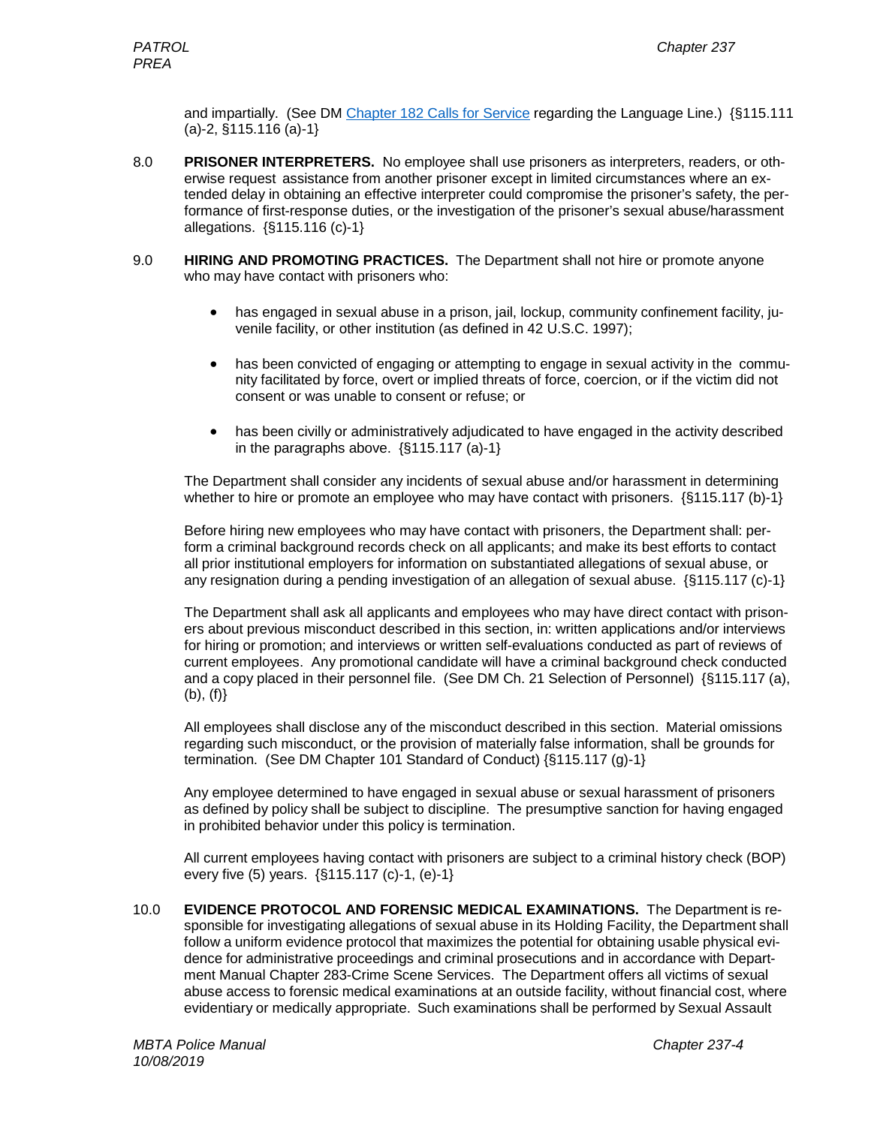and impartially. (See DM [Chapter 182 Calls for Service](file://mbtatpfs/vol1/COMMON/Department%20Manual/Chapter%20182-Calls%20for%20Service.pdf) regarding the Language Line.) {§115.111 (a)-2, §115.116 (a)-1}

- 8.0 **PRISONER INTERPRETERS.** No employee shall use prisoners as interpreters, readers, or otherwise request assistance from another prisoner except in limited circumstances where an extended delay in obtaining an effective interpreter could compromise the prisoner's safety, the performance of first-response duties, or the investigation of the prisoner's sexual abuse/harassment allegations. {§115.116 (c)-1}
- 9.0 **HIRING AND PROMOTING PRACTICES.** The Department shall not hire or promote anyone who may have contact with prisoners who:
	- has engaged in sexual abuse in a prison, jail, lockup, community confinement facility, juvenile facility, or other institution (as defined in 42 U.S.C. 1997);
	- has been convicted of engaging or attempting to engage in sexual activity in the community facilitated by force, overt or implied threats of force, coercion, or if the victim did not consent or was unable to consent or refuse; or
	- has been civilly or administratively adjudicated to have engaged in the activity described in the paragraphs above. {§115.117 (a)-1}

The Department shall consider any incidents of sexual abuse and/or harassment in determining whether to hire or promote an employee who may have contact with prisoners.  $\{\S115.117$  (b)-1}

Before hiring new employees who may have contact with prisoners, the Department shall: perform a criminal background records check on all applicants; and make its best efforts to contact all prior institutional employers for information on substantiated allegations of sexual abuse, or any resignation during a pending investigation of an allegation of sexual abuse. {§115.117 (c)-1}

The Department shall ask all applicants and employees who may have direct contact with prisoners about previous misconduct described in this section, in: written applications and/or interviews for hiring or promotion; and interviews or written self-evaluations conducted as part of reviews of current employees. Any promotional candidate will have a criminal background check conducted and a copy placed in their personnel file. (See DM Ch. 21 Selection of Personnel) {§115.117 (a),  $(b), (f)$ 

All employees shall disclose any of the misconduct described in this section. Material omissions regarding such misconduct, or the provision of materially false information, shall be grounds for termination. (See DM Chapter 101 Standard of Conduct) {§115.117 (g)-1}

Any employee determined to have engaged in sexual abuse or sexual harassment of prisoners as defined by policy shall be subject to discipline. The presumptive sanction for having engaged in prohibited behavior under this policy is termination.

All current employees having contact with prisoners are subject to a criminal history check (BOP) every five (5) years. {§115.117 (c)-1, (e)-1}

10.0 **EVIDENCE PROTOCOL AND FORENSIC MEDICAL EXAMINATIONS.** The Department is responsible for investigating allegations of sexual abuse in its Holding Facility, the Department shall follow a uniform evidence protocol that maximizes the potential for obtaining usable physical evidence for administrative proceedings and criminal prosecutions and in accordance with Department Manual Chapter 283-Crime Scene Services. The Department offers all victims of sexual abuse access to forensic medical examinations at an outside facility, without financial cost, where evidentiary or medically appropriate. Such examinations shall be performed by Sexual Assault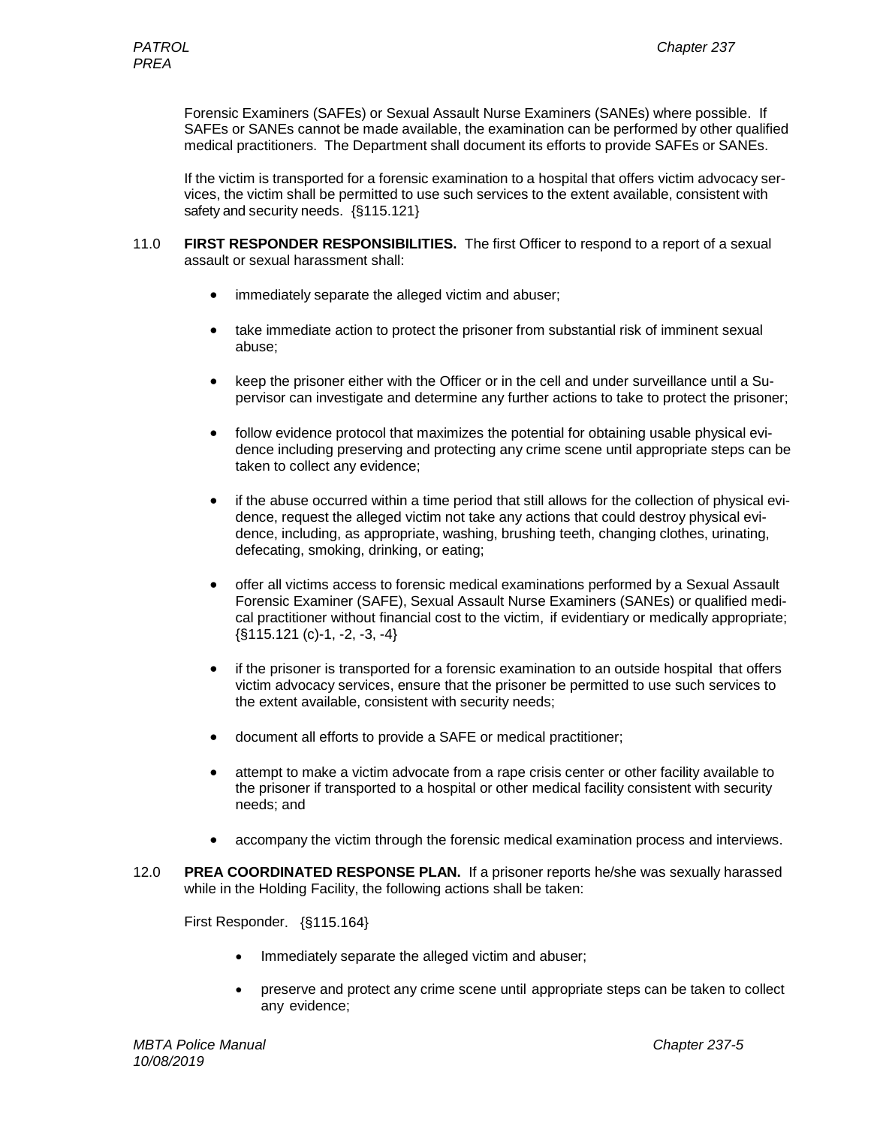Forensic Examiners (SAFEs) or Sexual Assault Nurse Examiners (SANEs) where possible. If SAFEs or SANEs cannot be made available, the examination can be performed by other qualified medical practitioners. The Department shall document its efforts to provide SAFEs or SANEs.

If the victim is transported for a forensic examination to a hospital that offers victim advocacy services, the victim shall be permitted to use such services to the extent available, consistent with safety and security needs. {§115.121}

- 11.0 **FIRST RESPONDER RESPONSIBILITIES.** The first Officer to respond to a report of a sexual assault or sexual harassment shall:
	- immediately separate the alleged victim and abuser;
	- take immediate action to protect the prisoner from substantial risk of imminent sexual abuse;
	- keep the prisoner either with the Officer or in the cell and under surveillance until a Supervisor can investigate and determine any further actions to take to protect the prisoner;
	- follow evidence protocol that maximizes the potential for obtaining usable physical evidence including preserving and protecting any crime scene until appropriate steps can be taken to collect any evidence;
	- if the abuse occurred within a time period that still allows for the collection of physical evidence, request the alleged victim not take any actions that could destroy physical evidence, including, as appropriate, washing, brushing teeth, changing clothes, urinating, defecating, smoking, drinking, or eating;
	- offer all victims access to forensic medical examinations performed by a Sexual Assault Forensic Examiner (SAFE), Sexual Assault Nurse Examiners (SANEs) or qualified medical practitioner without financial cost to the victim, if evidentiary or medically appropriate;  $\{\$115.121 (c)-1, -2, -3, -4\}$
	- if the prisoner is transported for a forensic examination to an outside hospital that offers victim advocacy services, ensure that the prisoner be permitted to use such services to the extent available, consistent with security needs;
	- document all efforts to provide a SAFE or medical practitioner;
	- attempt to make a victim advocate from a rape crisis center or other facility available to the prisoner if transported to a hospital or other medical facility consistent with security needs; and
	- accompany the victim through the forensic medical examination process and interviews.
- 12.0 **PREA COORDINATED RESPONSE PLAN.** If a prisoner reports he/she was sexually harassed while in the Holding Facility, the following actions shall be taken:

First Responder. {§115.164}

- Immediately separate the alleged victim and abuser;
- preserve and protect any crime scene until appropriate steps can be taken to collect any evidence;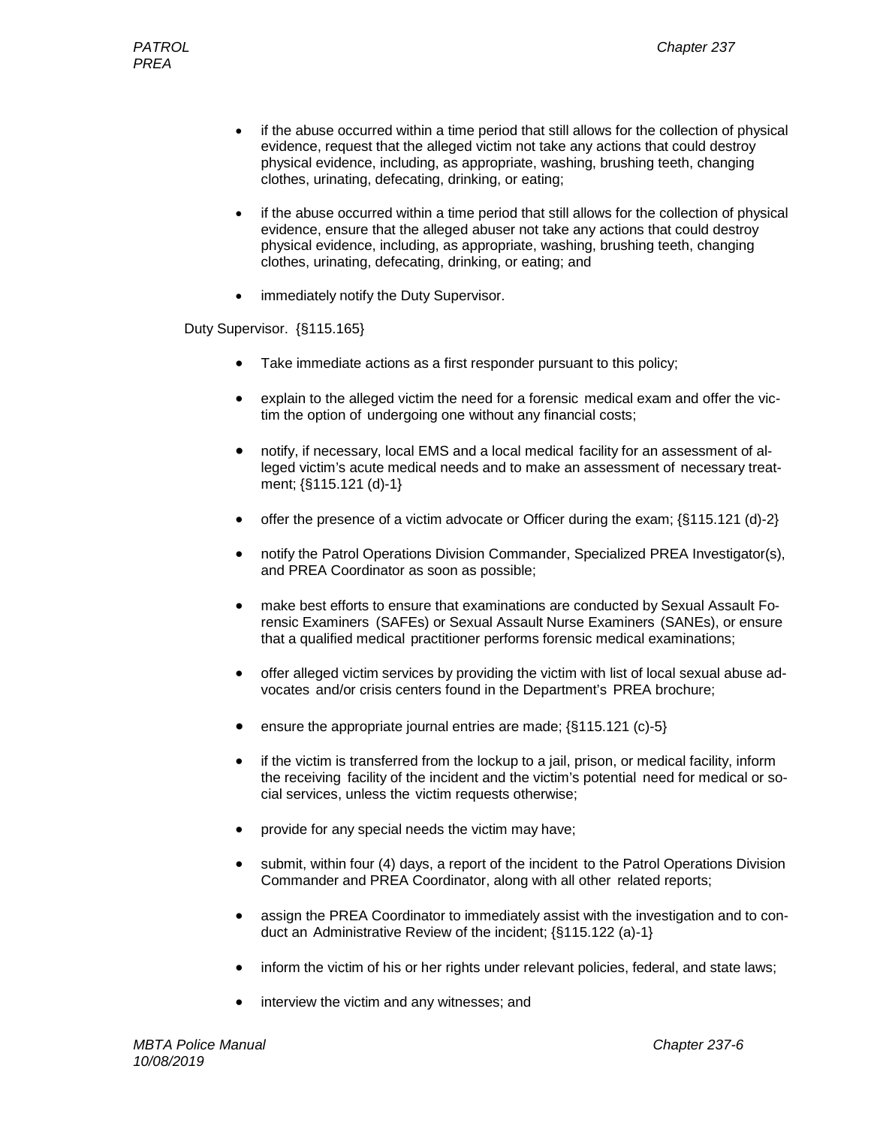- if the abuse occurred within a time period that still allows for the collection of physical evidence, request that the alleged victim not take any actions that could destroy physical evidence, including, as appropriate, washing, brushing teeth, changing clothes, urinating, defecating, drinking, or eating;
- if the abuse occurred within a time period that still allows for the collection of physical evidence, ensure that the alleged abuser not take any actions that could destroy physical evidence, including, as appropriate, washing, brushing teeth, changing clothes, urinating, defecating, drinking, or eating; and
- immediately notify the Duty Supervisor.

Duty Supervisor. {§115.165}

- Take immediate actions as a first responder pursuant to this policy;
- explain to the alleged victim the need for a forensic medical exam and offer the victim the option of undergoing one without any financial costs;
- notify, if necessary, local EMS and a local medical facility for an assessment of alleged victim's acute medical needs and to make an assessment of necessary treatment; {§115.121 (d)-1}
- offer the presence of a victim advocate or Officer during the exam;  $\{\S115.121 \text{ (d)}\text{-}2\}$
- notify the Patrol Operations Division Commander, Specialized PREA Investigator(s), and PREA Coordinator as soon as possible;
- make best efforts to ensure that examinations are conducted by Sexual Assault Forensic Examiners (SAFEs) or Sexual Assault Nurse Examiners (SANEs), or ensure that a qualified medical practitioner performs forensic medical examinations;
- offer alleged victim services by providing the victim with list of local sexual abuse advocates and/or crisis centers found in the Department's PREA brochure;
- ensure the appropriate journal entries are made;  $\{\S 115.121$  (c)-5}
- if the victim is transferred from the lockup to a jail, prison, or medical facility, inform the receiving facility of the incident and the victim's potential need for medical or social services, unless the victim requests otherwise;
- provide for any special needs the victim may have;
- submit, within four (4) days, a report of the incident to the Patrol Operations Division Commander and PREA Coordinator, along with all other related reports;
- assign the PREA Coordinator to immediately assist with the investigation and to conduct an Administrative Review of the incident; {§115.122 (a)-1}
- inform the victim of his or her rights under relevant policies, federal, and state laws;
- interview the victim and any witnesses; and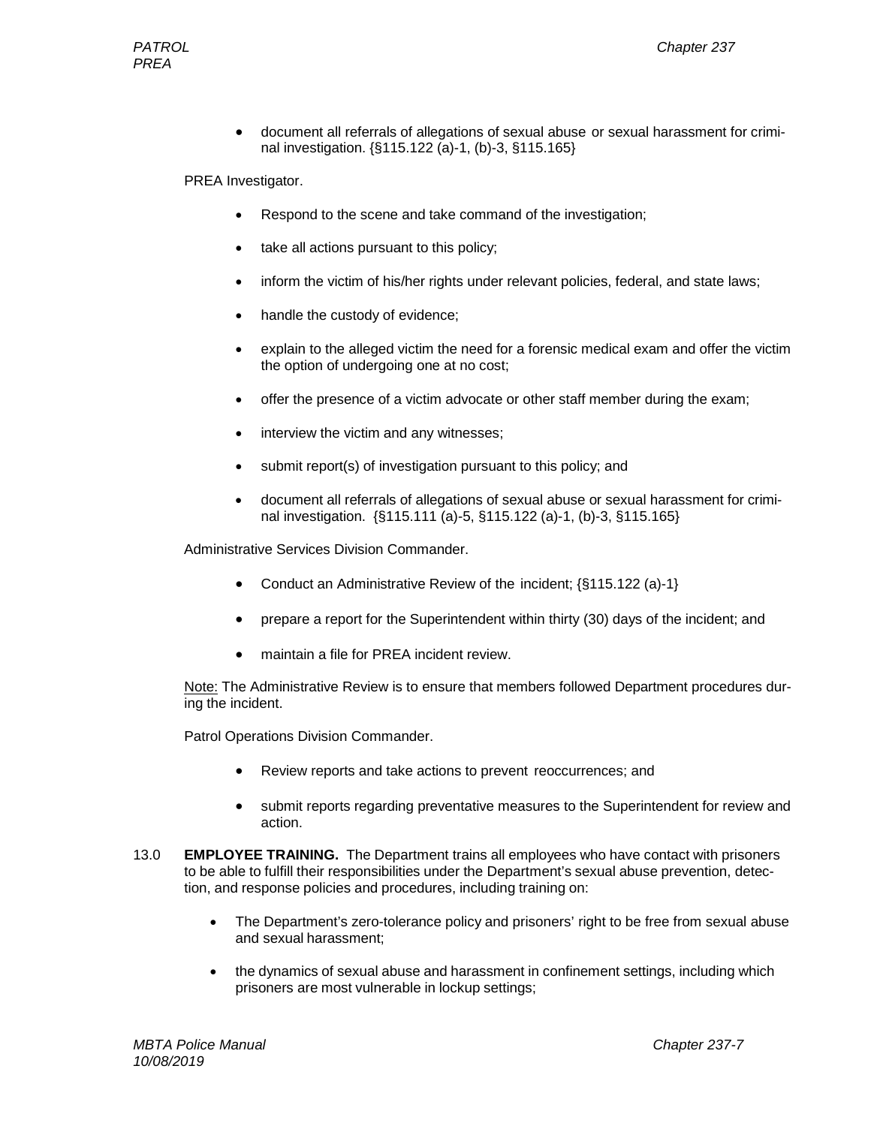• document all referrals of allegations of sexual abuse or sexual harassment for criminal investigation. {§115.122 (a)-1, (b)-3, §115.165}

PREA Investigator.

- Respond to the scene and take command of the investigation;
- take all actions pursuant to this policy;
- inform the victim of his/her rights under relevant policies, federal, and state laws;
- handle the custody of evidence;
- explain to the alleged victim the need for a forensic medical exam and offer the victim the option of undergoing one at no cost;
- offer the presence of a victim advocate or other staff member during the exam;
- interview the victim and any witnesses;
- submit report(s) of investigation pursuant to this policy; and
- document all referrals of allegations of sexual abuse or sexual harassment for criminal investigation. {§115.111 (a)-5, §115.122 (a)-1, (b)-3, §115.165}

Administrative Services Division Commander.

- Conduct an Administrative Review of the incident; {§115.122 (a)-1}
- prepare a report for the Superintendent within thirty (30) days of the incident; and
- maintain a file for PREA incident review.

Note: The Administrative Review is to ensure that members followed Department procedures during the incident.

Patrol Operations Division Commander.

- Review reports and take actions to prevent reoccurrences; and
- submit reports regarding preventative measures to the Superintendent for review and action.
- 13.0 **EMPLOYEE TRAINING.** The Department trains all employees who have contact with prisoners to be able to fulfill their responsibilities under the Department's sexual abuse prevention, detection, and response policies and procedures, including training on:
	- The Department's zero-tolerance policy and prisoners' right to be free from sexual abuse and sexual harassment;
	- the dynamics of sexual abuse and harassment in confinement settings, including which prisoners are most vulnerable in lockup settings;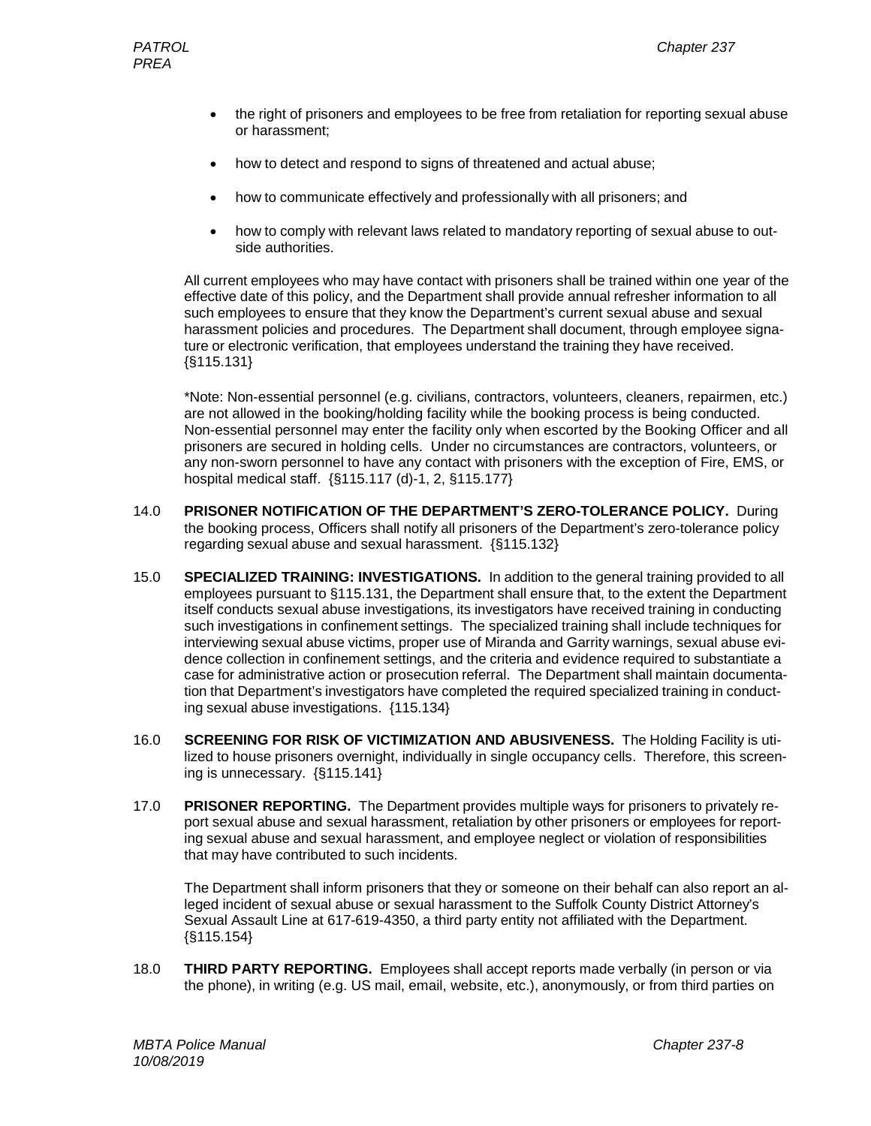- the right of prisoners and employees to be free from retaliation for reporting sexual abuse or harassment;
- how to detect and respond to signs of threatened and actual abuse;
- how to communicate effectively and professionally with all prisoners; and
- how to comply with relevant laws related to mandatory reporting of sexual abuse to outside authorities.

All current employees who may have contact with prisoners shall be trained within one year of the effective date of this policy, and the Department shall provide annual refresher information to all such employees to ensure that they know the Department's current sexual abuse and sexual harassment policies and procedures. The Department shall document, through employee signature or electronic verification, that employees understand the training they have received. {§115.131}

\*Note: Non-essential personnel (e.g. civilians, contractors, volunteers, cleaners, repairmen, etc.) are not allowed in the booking/holding facility while the booking process is being conducted. Non-essential personnel may enter the facility only when escorted by the Booking Officer and all prisoners are secured in holding cells. Under no circumstances are contractors, volunteers, or any non-sworn personnel to have any contact with prisoners with the exception of Fire, EMS, or hospital medical staff. {§115.117 (d)-1, 2, §115.177}

- 14.0 **PRISONER NOTIFICATION OF THE DEPARTMENT'S ZERO-TOLERANCE POLICY.** During the booking process, Officers shall notify all prisoners of the Department's zero-tolerance policy regarding sexual abuse and sexual harassment. {§115.132}
- 15.0 **SPECIALIZED TRAINING: INVESTIGATIONS.** In addition to the general training provided to all employees pursuant to §115.131, the Department shall ensure that, to the extent the Department itself conducts sexual abuse investigations, its investigators have received training in conducting such investigations in confinement settings. The specialized training shall include techniques for interviewing sexual abuse victims, proper use of Miranda and Garrity warnings, sexual abuse evidence collection in confinement settings, and the criteria and evidence required to substantiate a case for administrative action or prosecution referral. The Department shall maintain documentation that Department's investigators have completed the required specialized training in conducting sexual abuse investigations. {115.134}
- 16.0 **SCREENING FOR RISK OF VICTIMIZATION AND ABUSIVENESS.** The Holding Facility is utilized to house prisoners overnight, individually in single occupancy cells. Therefore, this screening is unnecessary. {§115.141}
- 17.0 **PRISONER REPORTING.** The Department provides multiple ways for prisoners to privately report sexual abuse and sexual harassment, retaliation by other prisoners or employees for reporting sexual abuse and sexual harassment, and employee neglect or violation of responsibilities that may have contributed to such incidents.

The Department shall inform prisoners that they or someone on their behalf can also report an alleged incident of sexual abuse or sexual harassment to the Suffolk County District Attorney's Sexual Assault Line at 617-619-4350, a third party entity not affiliated with the Department.  $\{\$115.154\}$ 

18.0 **THIRD PARTY REPORTING.** Employees shall accept reports made verbally (in person or via the phone), in writing (e.g. US mail, email, website, etc.), anonymously, or from third parties on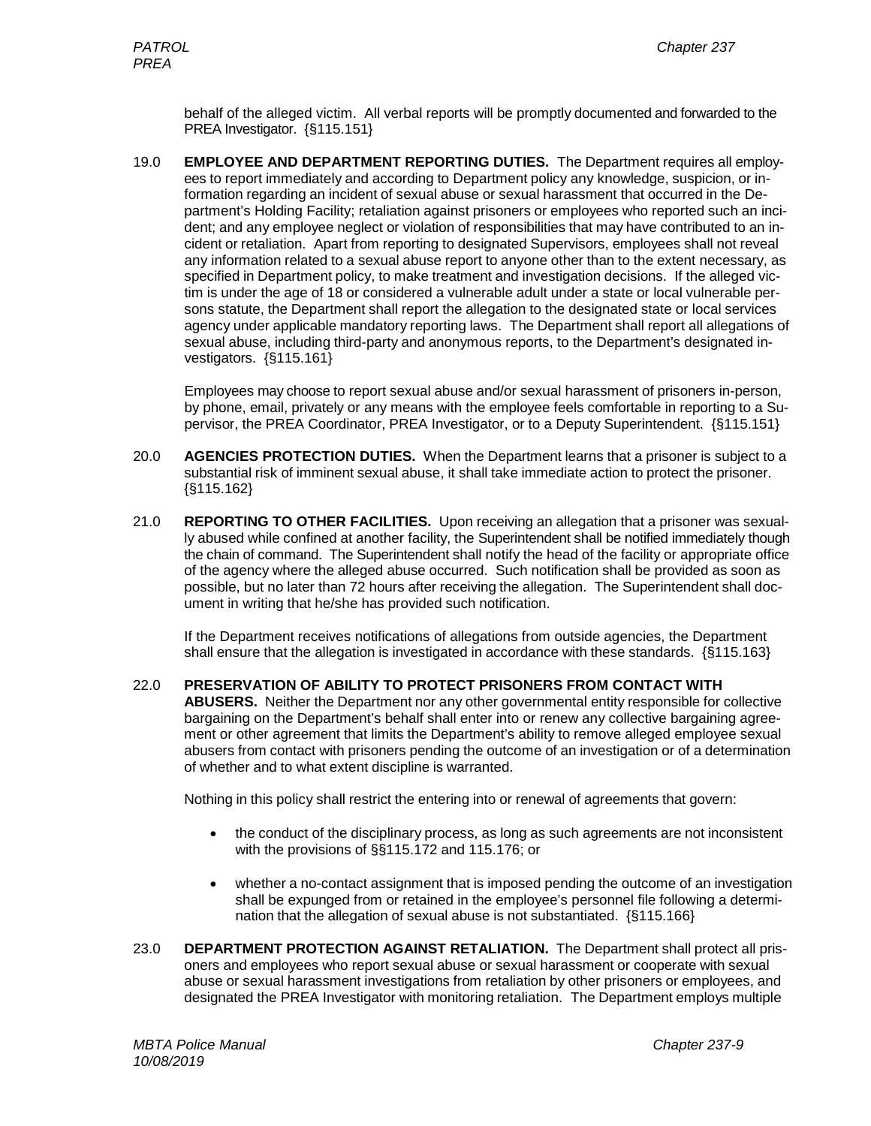behalf of the alleged victim. All verbal reports will be promptly documented and forwarded to the PREA Investigator. {§115.151}

19.0 **EMPLOYEE AND DEPARTMENT REPORTING DUTIES.** The Department requires all employees to report immediately and according to Department policy any knowledge, suspicion, or information regarding an incident of sexual abuse or sexual harassment that occurred in the Department's Holding Facility; retaliation against prisoners or employees who reported such an incident; and any employee neglect or violation of responsibilities that may have contributed to an incident or retaliation. Apart from reporting to designated Supervisors, employees shall not reveal any information related to a sexual abuse report to anyone other than to the extent necessary, as specified in Department policy, to make treatment and investigation decisions. If the alleged victim is under the age of 18 or considered a vulnerable adult under a state or local vulnerable persons statute, the Department shall report the allegation to the designated state or local services agency under applicable mandatory reporting laws. The Department shall report all allegations of sexual abuse, including third-party and anonymous reports, to the Department's designated investigators. {§115.161}

Employees may choose to report sexual abuse and/or sexual harassment of prisoners in-person, by phone, email, privately or any means with the employee feels comfortable in reporting to a Supervisor, the PREA Coordinator, PREA Investigator, or to a Deputy Superintendent. {§115.151}

- 20.0 **AGENCIES PROTECTION DUTIES.** When the Department learns that a prisoner is subject to a substantial risk of imminent sexual abuse, it shall take immediate action to protect the prisoner. {§115.162}
- 21.0 **REPORTING TO OTHER FACILITIES.** Upon receiving an allegation that a prisoner was sexually abused while confined at another facility, the Superintendent shall be notified immediately though the chain of command. The Superintendent shall notify the head of the facility or appropriate office of the agency where the alleged abuse occurred. Such notification shall be provided as soon as possible, but no later than 72 hours after receiving the allegation. The Superintendent shall document in writing that he/she has provided such notification.

If the Department receives notifications of allegations from outside agencies, the Department shall ensure that the allegation is investigated in accordance with these standards. {§115.163}

22.0 **PRESERVATION OF ABILITY TO PROTECT PRISONERS FROM CONTACT WITH ABUSERS.** Neither the Department nor any other governmental entity responsible for collective bargaining on the Department's behalf shall enter into or renew any collective bargaining agreement or other agreement that limits the Department's ability to remove alleged employee sexual abusers from contact with prisoners pending the outcome of an investigation or of a determination of whether and to what extent discipline is warranted.

Nothing in this policy shall restrict the entering into or renewal of agreements that govern:

- the conduct of the disciplinary process, as long as such agreements are not inconsistent with the provisions of §§115.172 and 115.176; or
- whether a no-contact assignment that is imposed pending the outcome of an investigation shall be expunged from or retained in the employee's personnel file following a determination that the allegation of sexual abuse is not substantiated. {§115.166}
- 23.0 **DEPARTMENT PROTECTION AGAINST RETALIATION.** The Department shall protect all prisoners and employees who report sexual abuse or sexual harassment or cooperate with sexual abuse or sexual harassment investigations from retaliation by other prisoners or employees, and designated the PREA Investigator with monitoring retaliation. The Department employs multiple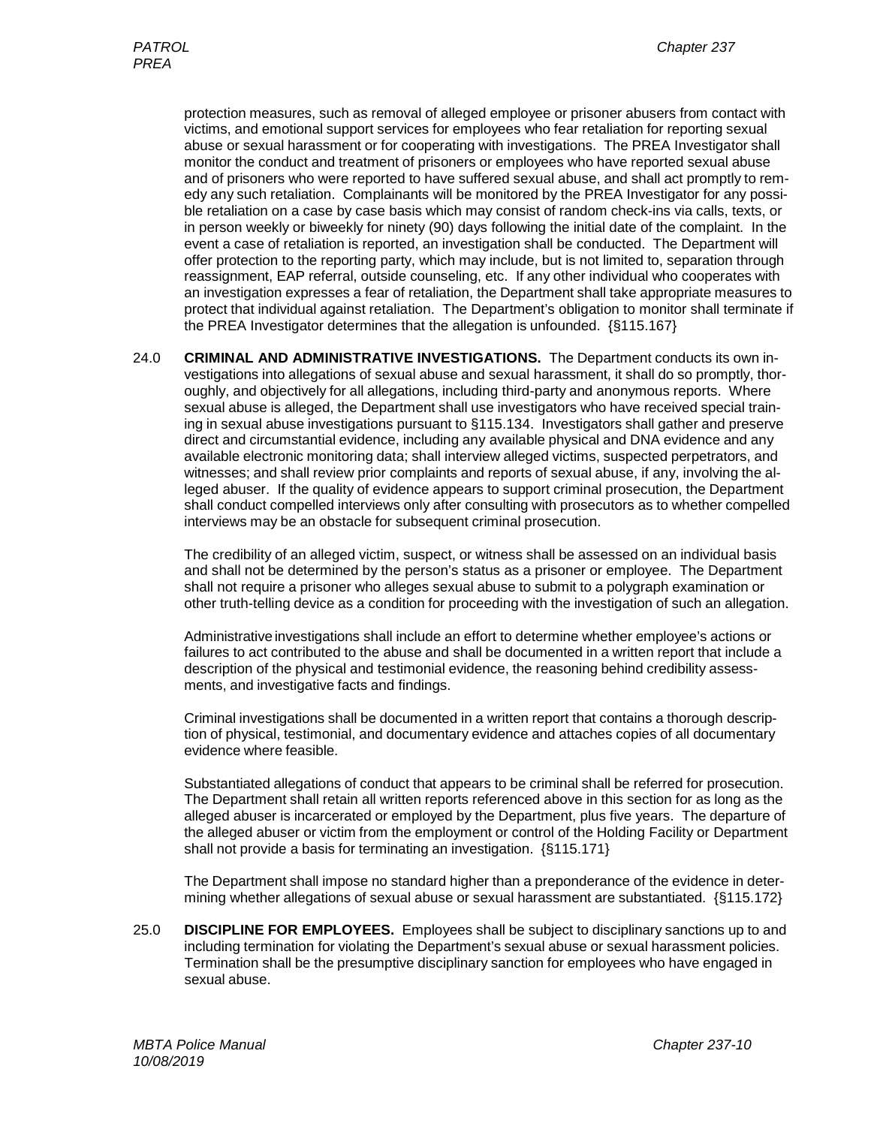protection measures, such as removal of alleged employee or prisoner abusers from contact with victims, and emotional support services for employees who fear retaliation for reporting sexual abuse or sexual harassment or for cooperating with investigations. The PREA Investigator shall monitor the conduct and treatment of prisoners or employees who have reported sexual abuse and of prisoners who were reported to have suffered sexual abuse, and shall act promptly to remedy any such retaliation. Complainants will be monitored by the PREA Investigator for any possible retaliation on a case by case basis which may consist of random check-ins via calls, texts, or in person weekly or biweekly for ninety (90) days following the initial date of the complaint. In the event a case of retaliation is reported, an investigation shall be conducted. The Department will offer protection to the reporting party, which may include, but is not limited to, separation through reassignment, EAP referral, outside counseling, etc. If any other individual who cooperates with an investigation expresses a fear of retaliation, the Department shall take appropriate measures to protect that individual against retaliation. The Department's obligation to monitor shall terminate if the PREA Investigator determines that the allegation is unfounded. {§115.167}

24.0 **CRIMINAL AND ADMINISTRATIVE INVESTIGATIONS.** The Department conducts its own investigations into allegations of sexual abuse and sexual harassment, it shall do so promptly, thoroughly, and objectively for all allegations, including third-party and anonymous reports. Where sexual abuse is alleged, the Department shall use investigators who have received special training in sexual abuse investigations pursuant to §115.134. Investigators shall gather and preserve direct and circumstantial evidence, including any available physical and DNA evidence and any available electronic monitoring data; shall interview alleged victims, suspected perpetrators, and witnesses; and shall review prior complaints and reports of sexual abuse, if any, involving the alleged abuser. If the quality of evidence appears to support criminal prosecution, the Department shall conduct compelled interviews only after consulting with prosecutors as to whether compelled interviews may be an obstacle for subsequent criminal prosecution.

The credibility of an alleged victim, suspect, or witness shall be assessed on an individual basis and shall not be determined by the person's status as a prisoner or employee. The Department shall not require a prisoner who alleges sexual abuse to submit to a polygraph examination or other truth-telling device as a condition for proceeding with the investigation of such an allegation.

Administrative investigations shall include an effort to determine whether employee's actions or failures to act contributed to the abuse and shall be documented in a written report that include a description of the physical and testimonial evidence, the reasoning behind credibility assessments, and investigative facts and findings.

Criminal investigations shall be documented in a written report that contains a thorough description of physical, testimonial, and documentary evidence and attaches copies of all documentary evidence where feasible.

Substantiated allegations of conduct that appears to be criminal shall be referred for prosecution. The Department shall retain all written reports referenced above in this section for as long as the alleged abuser is incarcerated or employed by the Department, plus five years. The departure of the alleged abuser or victim from the employment or control of the Holding Facility or Department shall not provide a basis for terminating an investigation. {§115.171}

The Department shall impose no standard higher than a preponderance of the evidence in determining whether allegations of sexual abuse or sexual harassment are substantiated. {§115.172}

25.0 **DISCIPLINE FOR EMPLOYEES.** Employees shall be subject to disciplinary sanctions up to and including termination for violating the Department's sexual abuse or sexual harassment policies. Termination shall be the presumptive disciplinary sanction for employees who have engaged in sexual abuse.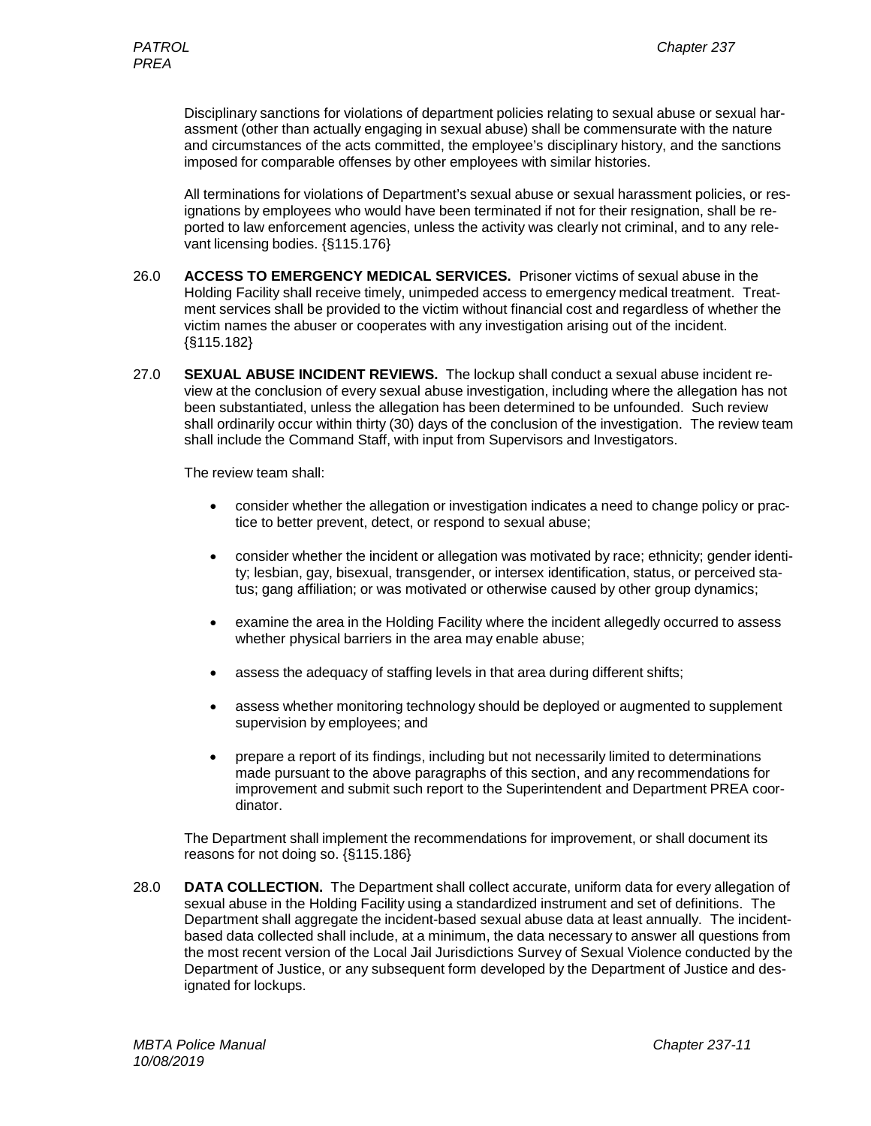Disciplinary sanctions for violations of department policies relating to sexual abuse or sexual harassment (other than actually engaging in sexual abuse) shall be commensurate with the nature and circumstances of the acts committed, the employee's disciplinary history, and the sanctions imposed for comparable offenses by other employees with similar histories.

All terminations for violations of Department's sexual abuse or sexual harassment policies, or resignations by employees who would have been terminated if not for their resignation, shall be reported to law enforcement agencies, unless the activity was clearly not criminal, and to any relevant licensing bodies. {§115.176}

- 26.0 **ACCESS TO EMERGENCY MEDICAL SERVICES.** Prisoner victims of sexual abuse in the Holding Facility shall receive timely, unimpeded access to emergency medical treatment. Treatment services shall be provided to the victim without financial cost and regardless of whether the victim names the abuser or cooperates with any investigation arising out of the incident. {§115.182}
- 27.0 **SEXUAL ABUSE INCIDENT REVIEWS.** The lockup shall conduct a sexual abuse incident review at the conclusion of every sexual abuse investigation, including where the allegation has not been substantiated, unless the allegation has been determined to be unfounded. Such review shall ordinarily occur within thirty (30) days of the conclusion of the investigation. The review team shall include the Command Staff, with input from Supervisors and Investigators.

The review team shall:

- consider whether the allegation or investigation indicates a need to change policy or practice to better prevent, detect, or respond to sexual abuse;
- consider whether the incident or allegation was motivated by race; ethnicity; gender identity; lesbian, gay, bisexual, transgender, or intersex identification, status, or perceived status; gang affiliation; or was motivated or otherwise caused by other group dynamics;
- examine the area in the Holding Facility where the incident allegedly occurred to assess whether physical barriers in the area may enable abuse;
- assess the adequacy of staffing levels in that area during different shifts;
- assess whether monitoring technology should be deployed or augmented to supplement supervision by employees; and
- prepare a report of its findings, including but not necessarily limited to determinations made pursuant to the above paragraphs of this section, and any recommendations for improvement and submit such report to the Superintendent and Department PREA coordinator.

The Department shall implement the recommendations for improvement, or shall document its reasons for not doing so. {§115.186}

28.0 **DATA COLLECTION.** The Department shall collect accurate, uniform data for every allegation of sexual abuse in the Holding Facility using a standardized instrument and set of definitions. The Department shall aggregate the incident-based sexual abuse data at least annually. The incidentbased data collected shall include, at a minimum, the data necessary to answer all questions from the most recent version of the Local Jail Jurisdictions Survey of Sexual Violence conducted by the Department of Justice, or any subsequent form developed by the Department of Justice and designated for lockups.